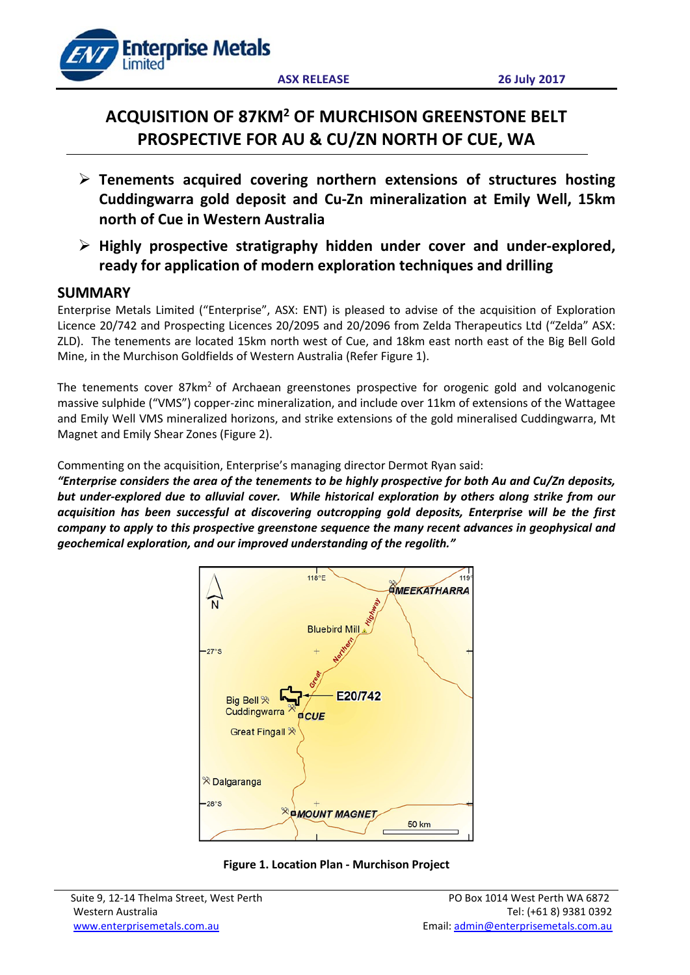

# **ACQUISITION OF 87KM2 OF MURCHISON GREENSTONE BELT PROSPECTIVE FOR AU & CU/ZN NORTH OF CUE, WA**

- **Tenements acquired covering northern extensions of structures hosting Cuddingwarra gold deposit and Cu-Zn mineralization at Emily Well, 15km north of Cue in Western Australia**
- **Highly prospective stratigraphy hidden under cover and under-explored, ready for application of modern exploration techniques and drilling**

## **SUMMARY**

Enterprise Metals Limited ("Enterprise", ASX: ENT) is pleased to advise of the acquisition of Exploration Licence 20/742 and Prospecting Licences 20/2095 and 20/2096 from Zelda Therapeutics Ltd ("Zelda" ASX: ZLD). The tenements are located 15km north west of Cue, and 18km east north east of the Big Bell Gold Mine, in the Murchison Goldfields of Western Australia (Refer Figure 1).

The tenements cover 87km<sup>2</sup> of Archaean greenstones prospective for orogenic gold and volcanogenic massive sulphide ("VMS") copper-zinc mineralization, and include over 11km of extensions of the Wattagee and Emily Well VMS mineralized horizons, and strike extensions of the gold mineralised Cuddingwarra, Mt Magnet and Emily Shear Zones (Figure 2).

Commenting on the acquisition, Enterprise's managing director Dermot Ryan said:

*"Enterprise considers the area of the tenements to be highly prospective for both Au and Cu/Zn deposits, but under-explored due to alluvial cover. While historical exploration by others along strike from our acquisition has been successful at discovering outcropping gold deposits, Enterprise will be the first company to apply to this prospective greenstone sequence the many recent advances in geophysical and geochemical exploration, and our improved understanding of the regolith."*



**Figure 1. Location Plan - Murchison Project**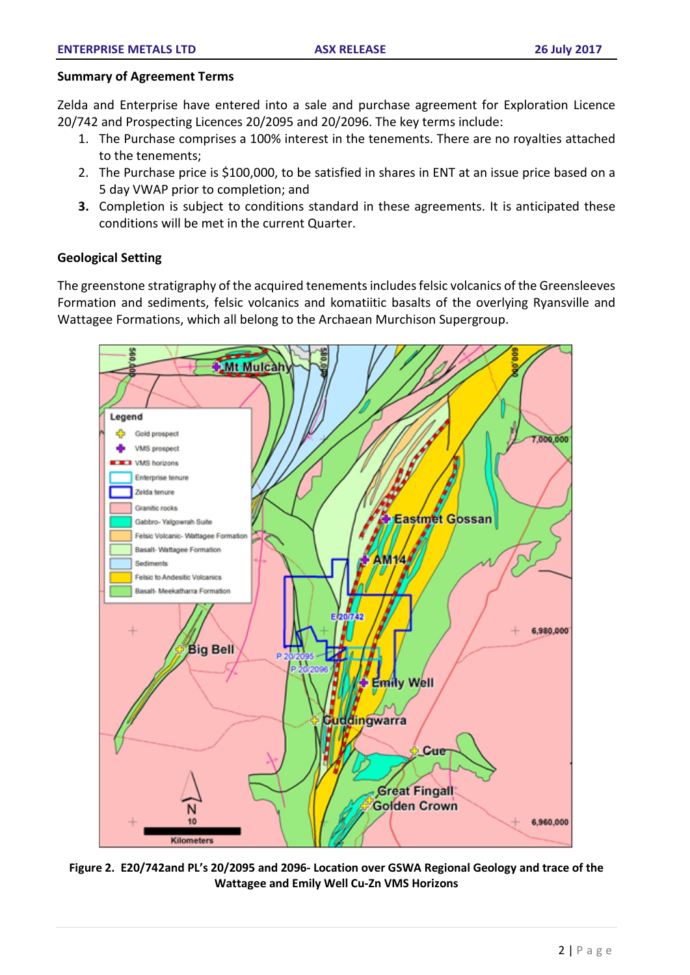### **Summary of Agreement Terms**

Zelda and Enterprise have entered into a sale and purchase agreement for Exploration Licence 20/742 and Prospecting Licences 20/2095 and 20/2096. The key terms include:

- 1. The Purchase comprises a 100% interest in the tenements. There are no royalties attached to the tenements;
- 2. The Purchase price is \$100,000, to be satisfied in shares in ENT at an issue price based on a 5 day VWAP prior to completion; and
- **3.** Completion is subject to conditions standard in these agreements. It is anticipated these conditions will be met in the current Quarter.

## **Geological Setting**

The greenstone stratigraphy of the acquired tenements includes felsic volcanics of the Greensleeves Formation and sediments, felsic volcanics and komatiitic basalts of the overlying Ryansville and Wattagee Formations, which all belong to the Archaean Murchison Supergroup.



**Figure 2. E20/742and PL's 20/2095 and 2096- Location over GSWA Regional Geology and trace of the Wattagee and Emily Well Cu-Zn VMS Horizons**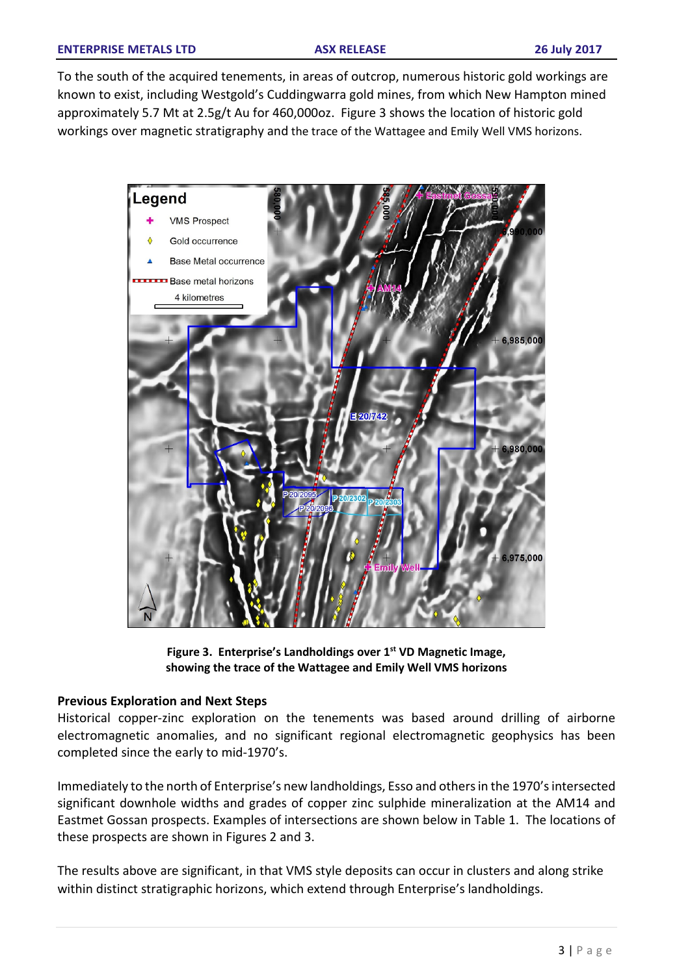To the south of the acquired tenements, in areas of outcrop, numerous historic gold workings are known to exist, including Westgold's Cuddingwarra gold mines, from which New Hampton mined approximately 5.7 Mt at 2.5g/t Au for 460,000oz. Figure 3 shows the location of historic gold workings over magnetic stratigraphy and the trace of the Wattagee and Emily Well VMS horizons.



**Figure 3. Enterprise's Landholdings over 1st VD Magnetic Image, showing the trace of the Wattagee and Emily Well VMS horizons**

## **Previous Exploration and Next Steps**

Historical copper-zinc exploration on the tenements was based around drilling of airborne electromagnetic anomalies, and no significant regional electromagnetic geophysics has been completed since the early to mid-1970's.

Immediately to the north of Enterprise's new landholdings, Esso and others in the 1970's intersected significant downhole widths and grades of copper zinc sulphide mineralization at the AM14 and Eastmet Gossan prospects. Examples of intersections are shown below in Table 1. The locations of these prospects are shown in Figures 2 and 3.

The results above are significant, in that VMS style deposits can occur in clusters and along strike within distinct stratigraphic horizons, which extend through Enterprise's landholdings.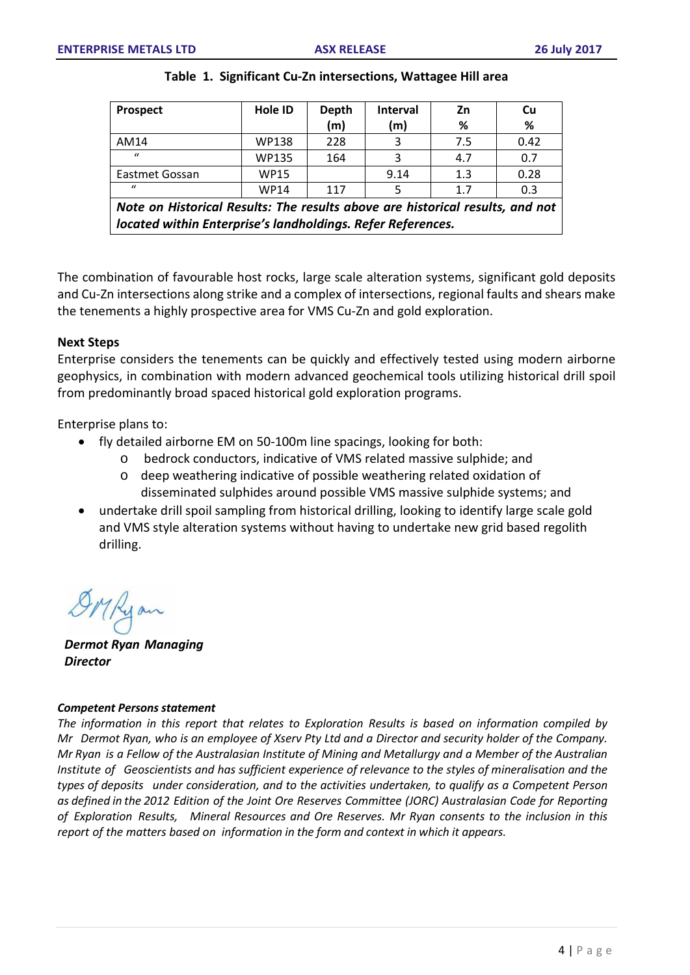| <b>Prospect</b>                                                                                                                              | <b>Hole ID</b> | <b>Depth</b> | <b>Interval</b> | Zn  | Cu   |
|----------------------------------------------------------------------------------------------------------------------------------------------|----------------|--------------|-----------------|-----|------|
|                                                                                                                                              |                | (m)          | (m)             | %   | %    |
| AM14                                                                                                                                         | WP138          | 228          | 3               | 7.5 | 0.42 |
| $\prime$                                                                                                                                     | WP135          | 164          | 3               | 4.7 | 0.7  |
| Eastmet Gossan                                                                                                                               | <b>WP15</b>    |              | 9.14            | 1.3 | 0.28 |
| $\mathbf{u}$                                                                                                                                 | <b>WP14</b>    | 117          |                 | 1.7 | 0.3  |
| Note on Historical Results: The results above are historical results, and not<br>located within Enterprise's landholdings. Refer References. |                |              |                 |     |      |

#### **Table 1. Significant Cu-Zn intersections, Wattagee Hill area**

The combination of favourable host rocks, large scale alteration systems, significant gold deposits and Cu-Zn intersections along strike and a complex of intersections, regional faults and shears make the tenements a highly prospective area for VMS Cu-Zn and gold exploration.

#### **Next Steps**

Enterprise considers the tenements can be quickly and effectively tested using modern airborne geophysics, in combination with modern advanced geochemical tools utilizing historical drill spoil from predominantly broad spaced historical gold exploration programs.

Enterprise plans to:

- fly detailed airborne EM on 50-100m line spacings, looking for both:
	- o bedrock conductors, indicative of VMS related massive sulphide; and
	- o deep weathering indicative of possible weathering related oxidation of disseminated sulphides around possible VMS massive sulphide systems; and
- undertake drill spoil sampling from historical drilling, looking to identify large scale gold and VMS style alteration systems without having to undertake new grid based regolith drilling.

*Dermot Ryan Managing Director*

#### *Competent Persons statement*

*The information in this report that relates to Exploration Results is based on information compiled by* Mr Dermot Ryan, who is an employee of Xserv Pty Ltd and a Director and security holder of the Company. Mr Ryan is a Fellow of the Australasian Institute of Mining and Metallurgy and a Member of the Australian *Institute of Geoscientists and has sufficient experience of relevance to the styles of mineralisation and the types of deposits under consideration, and to the activities undertaken, to qualify as a Competent Person as defined in the 2012 Edition of the Joint Ore Reserves Committee (JORC) Australasian Code for Reporting of Exploration Results, Mineral Resources and Ore Reserves. Mr Ryan consents to the inclusion in this report of the matters based on information in the form and context in which it appears.*